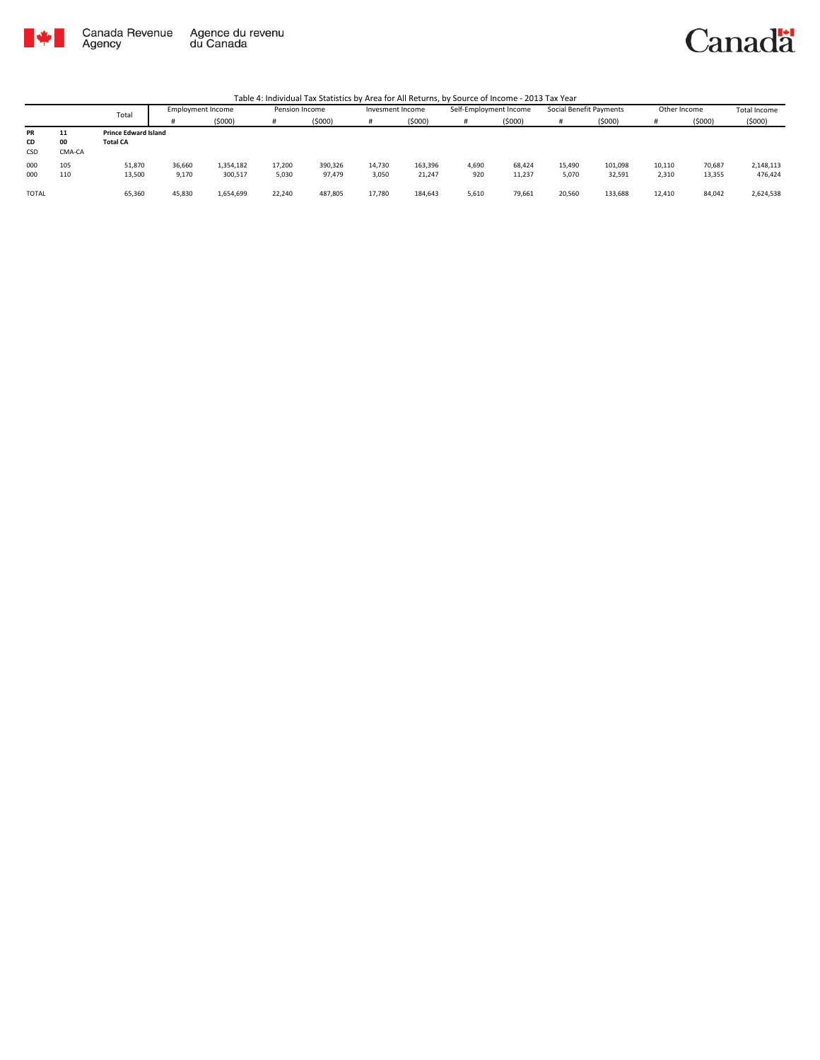

Canada Revenue<br>Agency Agence du revenu<br>du Canada

## Canadä

|              |        |                             |                          |           |        |                |        | ___              |       |                        |        |                         |        |              |                     |
|--------------|--------|-----------------------------|--------------------------|-----------|--------|----------------|--------|------------------|-------|------------------------|--------|-------------------------|--------|--------------|---------------------|
|              |        | Total                       | <b>Employment Income</b> |           |        | Pension Income |        | Invesment Income |       | Self-Employment Income |        | Social Benefit Payments |        | Other Income | <b>Total Income</b> |
|              |        |                             |                          | (\$000)   |        | (5000)         |        | (5000)           |       | (5000)                 | Ħ      | (\$000)                 |        | (5000)       | (5000)              |
| <b>PR</b>    | 11     | <b>Prince Edward Island</b> |                          |           |        |                |        |                  |       |                        |        |                         |        |              |                     |
| CD           | 00     | <b>Total CA</b>             |                          |           |        |                |        |                  |       |                        |        |                         |        |              |                     |
| <b>CSD</b>   | CMA-CA |                             |                          |           |        |                |        |                  |       |                        |        |                         |        |              |                     |
| 000          | 105    | 51,870                      | 36,660                   | 1,354,182 | 17,200 | 390,326        | 14,730 | 163,396          | 4,690 | 68,424                 | 15,490 | 101,098                 | 10,110 | 70,687       | 2,148,113           |
| 000          | 110    | 13,500                      | 9,170                    | 300,517   | 5,030  | 97,479         | 3,050  | 21,247           | 920   | 11,237                 | 5,070  | 32,591                  | 2,310  | 13,355       | 476,424             |
|              |        |                             |                          |           |        |                |        |                  |       |                        |        |                         |        |              |                     |
| <b>TOTAL</b> |        | 65,360                      | 45,830                   | 1,654,699 | 22,240 | 487,805        | 17,780 | 184,643          | 5,610 | 79,661                 | 20,560 | 133,688                 | 12,410 | 84,042       | 2,624,538           |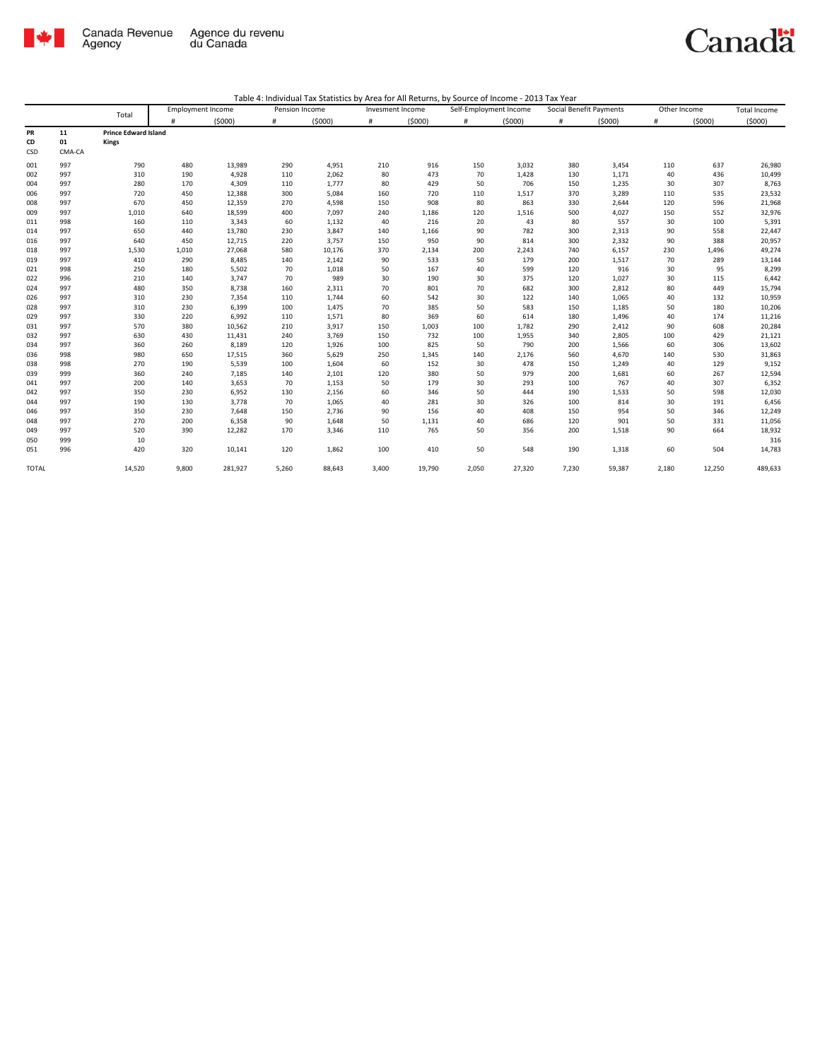

## Canadä

|              |        |                             | <b>Employment Income</b> |         | Pension Income |        |       | Invesment Income |       | Self-Employment Income |       | Social Benefit Payments | Other Income |        | <b>Total Income</b> |
|--------------|--------|-----------------------------|--------------------------|---------|----------------|--------|-------|------------------|-------|------------------------|-------|-------------------------|--------------|--------|---------------------|
|              |        | Total                       | Ħ                        | (5000)  | #              | (5000) | #     | (5000)           | $\#$  | (5000)                 | #     | (5000)                  | #            | (5000) | (5000)              |
| <b>PR</b>    | 11     | <b>Prince Edward Island</b> |                          |         |                |        |       |                  |       |                        |       |                         |              |        |                     |
| CD           | 01     | <b>Kings</b>                |                          |         |                |        |       |                  |       |                        |       |                         |              |        |                     |
| CSD          | CMA-CA |                             |                          |         |                |        |       |                  |       |                        |       |                         |              |        |                     |
| 001          | 997    | 790                         | 480                      | 13,989  | 290            | 4,951  | 210   | 916              | 150   | 3,032                  | 380   | 3,454                   | 110          | 637    | 26,980              |
| 002          | 997    | 310                         | 190                      | 4,928   | 110            | 2,062  | 80    | 473              | 70    | 1,428                  | 130   | 1,171                   | 40           | 436    | 10,499              |
| 004          | 997    | 280                         | 170                      | 4,309   | 110            | 1,777  | 80    | 429              | 50    | 706                    | 150   | 1,235                   | 30           | 307    | 8,763               |
| 006          | 997    | 720                         | 450                      | 12,388  | 300            | 5,084  | 160   | 720              | 110   | 1,517                  | 370   | 3,289                   | 110          | 535    | 23,532              |
| 008          | 997    | 670                         | 450                      | 12,359  | 270            | 4,598  | 150   | 908              | 80    | 863                    | 330   | 2,644                   | 120          | 596    | 21,968              |
| 009          | 997    | 1,010                       | 640                      | 18,599  | 400            | 7,097  | 240   | 1,186            | 120   | 1,516                  | 500   | 4,027                   | 150          | 552    | 32,976              |
| 011          | 998    | 160                         | 110                      | 3,343   | 60             | 1,132  | 40    | 216              | 20    | 43                     | 80    | 557                     | 30           | 100    | 5,391               |
| 014          | 997    | 650                         | 440                      | 13,780  | 230            | 3,847  | 140   | 1,166            | 90    | 782                    | 300   | 2,313                   | 90           | 558    | 22,447              |
| 016          | 997    | 640                         | 450                      | 12,715  | 220            | 3,757  | 150   | 950              | 90    | 814                    | 300   | 2,332                   | 90           | 388    | 20,957              |
| 018          | 997    | 1,530                       | 1,010                    | 27,068  | 580            | 10,176 | 370   | 2,134            | 200   | 2,243                  | 740   | 6,157                   | 230          | 1,496  | 49,274              |
| 019          | 997    | 410                         | 290                      | 8,485   | 140            | 2,142  | 90    | 533              | 50    | 179                    | 200   | 1,517                   | 70           | 289    | 13,144              |
| 021          | 998    | 250                         | 180                      | 5,502   | 70             | 1,018  | 50    | 167              | 40    | 599                    | 120   | 916                     | 30           | 95     | 8,299               |
| 022          | 996    | 210                         | 140                      | 3,747   | 70             | 989    | 30    | 190              | 30    | 375                    | 120   | 1,027                   | 30           | 115    | 6,442               |
| 024          | 997    | 480                         | 350                      | 8,738   | 160            | 2,311  | 70    | 801              | 70    | 682                    | 300   | 2,812                   | 80           | 449    | 15,794              |
| 026          | 997    | 310                         | 230                      | 7,354   | 110            | 1,744  | 60    | 542              | 30    | 122                    | 140   | 1,065                   | 40           | 132    | 10,959              |
| 028          | 997    | 310                         | 230                      | 6,399   | 100            | 1,475  | 70    | 385              | 50    | 583                    | 150   | 1,185                   | 50           | 180    | 10,206              |
| 029          | 997    | 330                         | 220                      | 6,992   | 110            | 1,571  | 80    | 369              | 60    | 614                    | 180   | 1,496                   | 40           | 174    | 11,216              |
| 031          | 997    | 570                         | 380                      | 10,562  | 210            | 3,917  | 150   | 1,003            | 100   | 1,782                  | 290   | 2,412                   | 90           | 608    | 20,284              |
| 032          | 997    | 630                         | 430                      | 11,431  | 240            | 3,769  | 150   | 732              | 100   | 1,955                  | 340   | 2,805                   | 100          | 429    | 21,121              |
| 034          | 997    | 360                         | 260                      | 8,189   | 120            | 1,926  | 100   | 825              | 50    | 790                    | 200   | 1,566                   | 60           | 306    | 13,602              |
| 036          | 998    | 980                         | 650                      | 17,515  | 360            | 5,629  | 250   | 1,345            | 140   | 2,176                  | 560   | 4,670                   | 140          | 530    | 31,863              |
| 038          | 998    | 270                         | 190                      | 5,539   | 100            | 1,604  | 60    | 152              | 30    | 478                    | 150   | 1,249                   | 40           | 129    | 9,152               |
| 039          | 999    | 360                         | 240                      | 7,185   | 140            | 2,101  | 120   | 380              | 50    | 979                    | 200   | 1,681                   | 60           | 267    | 12,594              |
| 041          | 997    | 200                         | 140                      | 3,653   | 70             | 1,153  | 50    | 179              | 30    | 293                    | 100   | 767                     | 40           | 307    | 6,352               |
| 042          | 997    | 350                         | 230                      | 6,952   | 130            | 2,156  | 60    | 346              | 50    | 444                    | 190   | 1,533                   | 50           | 598    | 12,030              |
| 044          | 997    | 190                         | 130                      | 3,778   | 70             | 1,065  | 40    | 281              | 30    | 326                    | 100   | 814                     | 30           | 191    | 6,456               |
| 046          | 997    | 350                         | 230                      | 7,648   | 150            | 2,736  | 90    | 156              | 40    | 408                    | 150   | 954                     | 50           | 346    | 12,249              |
| 048          | 997    | 270                         | 200                      | 6,358   | 90             | 1,648  | 50    | 1,131            | 40    | 686                    | 120   | 901                     | 50           | 331    | 11,056              |
| 049          | 997    | 520                         | 390                      | 12,282  | 170            | 3,346  | 110   | 765              | 50    | 356                    | 200   | 1,518                   | 90           | 664    | 18,932              |
| 050          | 999    | 10                          |                          |         |                |        |       |                  |       |                        |       |                         |              |        | 316                 |
| 051          | 996    | 420                         | 320                      | 10,141  | 120            | 1,862  | 100   | 410              | 50    | 548                    | 190   | 1,318                   | 60           | 504    | 14,783              |
| <b>TOTAL</b> |        | 14,520                      | 9,800                    | 281,927 | 5,260          | 88,643 | 3,400 | 19,790           | 2,050 | 27,320                 | 7,230 | 59,387                  | 2,180        | 12,250 | 489,633             |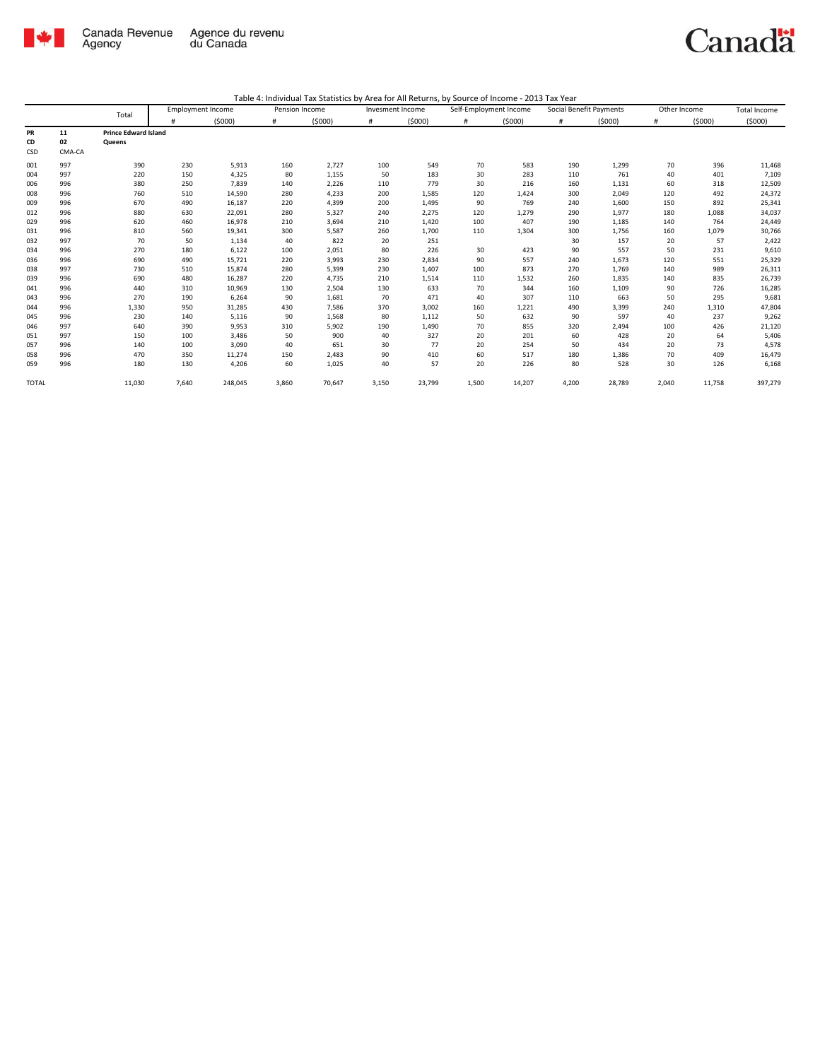

## Canadä

|              |        | Total                       | <b>Employment Income</b> |         | Pension Income |        |       | Invesment Income |       | Self-Employment Income |       | Social Benefit Payments |       | Other Income | Total Income |
|--------------|--------|-----------------------------|--------------------------|---------|----------------|--------|-------|------------------|-------|------------------------|-------|-------------------------|-------|--------------|--------------|
|              |        |                             | #                        | (5000)  | #              | (5000) | #     | (5000)           | $\#$  | (5000)                 | #     | (5000)                  | #     | (5000)       | (5000)       |
| PR           | 11     | <b>Prince Edward Island</b> |                          |         |                |        |       |                  |       |                        |       |                         |       |              |              |
| CD           | 02     | Queens                      |                          |         |                |        |       |                  |       |                        |       |                         |       |              |              |
| CSD          | CMA-CA |                             |                          |         |                |        |       |                  |       |                        |       |                         |       |              |              |
| 001          | 997    | 390                         | 230                      | 5,913   | 160            | 2,727  | 100   | 549              | 70    | 583                    | 190   | 1,299                   | 70    | 396          | 11,468       |
| 004          | 997    | 220                         | 150                      | 4,325   | 80             | 1,155  | 50    | 183              | 30    | 283                    | 110   | 761                     | 40    | 401          | 7,109        |
| 006          | 996    | 380                         | 250                      | 7,839   | 140            | 2,226  | 110   | 779              | 30    | 216                    | 160   | 1,131                   | 60    | 318          | 12,509       |
| 008          | 996    | 760                         | 510                      | 14,590  | 280            | 4,233  | 200   | 1,585            | 120   | 1,424                  | 300   | 2,049                   | 120   | 492          | 24,372       |
| 009          | 996    | 670                         | 490                      | 16,187  | 220            | 4,399  | 200   | 1,495            | 90    | 769                    | 240   | 1,600                   | 150   | 892          | 25,341       |
| 012          | 996    | 880                         | 630                      | 22,091  | 280            | 5,327  | 240   | 2.275            | 120   | 1,279                  | 290   | 1,977                   | 180   | 1,088        | 34,037       |
| 029          | 996    | 620                         | 460                      | 16,978  | 210            | 3,694  | 210   | 1,420            | 100   | 407                    | 190   | 1,185                   | 140   | 764          | 24,449       |
| 031          | 996    | 810                         | 560                      | 19,341  | 300            | 5,587  | 260   | 1,700            | 110   | 1,304                  | 300   | 1,756                   | 160   | 1,079        | 30,766       |
| 032          | 997    | 70                          | 50                       | 1,134   | 40             | 822    | 20    | 251              |       |                        | 30    | 157                     | 20    | 57           | 2,422        |
| 034          | 996    | 270                         | 180                      | 6,122   | 100            | 2,051  | 80    | 226              | 30    | 423                    | 90    | 557                     | 50    | 231          | 9,610        |
| 036          | 996    | 690                         | 490                      | 15,721  | 220            | 3,993  | 230   | 2,834            | 90    | 557                    | 240   | 1,673                   | 120   | 551          | 25,329       |
| 038          | 997    | 730                         | 510                      | 15,874  | 280            | 5,399  | 230   | 1,407            | 100   | 873                    | 270   | 1,769                   | 140   | 989          | 26,311       |
| 039          | 996    | 690                         | 480                      | 16,287  | 220            | 4,735  | 210   | 1,514            | 110   | 1,532                  | 260   | 1,835                   | 140   | 835          | 26,739       |
| 041          | 996    | 440                         | 310                      | 10,969  | 130            | 2,504  | 130   | 633              | 70    | 344                    | 160   | 1,109                   | 90    | 726          | 16,285       |
| 043          | 996    | 270                         | 190                      | 6,264   | 90             | 1,681  | 70    | 471              | 40    | 307                    | 110   | 663                     | 50    | 295          | 9,681        |
| 044          | 996    | 1,330                       | 950                      | 31,285  | 430            | 7,586  | 370   | 3,002            | 160   | 1,221                  | 490   | 3,399                   | 240   | 1,310        | 47,804       |
| 045          | 996    | 230                         | 140                      | 5,116   | 90             | 1,568  | 80    | 1,112            | 50    | 632                    | 90    | 597                     | 40    | 237          | 9,262        |
| 046          | 997    | 640                         | 390                      | 9,953   | 310            | 5,902  | 190   | 1,490            | 70    | 855                    | 320   | 2,494                   | 100   | 426          | 21,120       |
| 051          | 997    | 150                         | 100                      | 3,486   | 50             | 900    | 40    | 327              | 20    | 201                    | 60    | 428                     | 20    | 64           | 5,406        |
| 057          | 996    | 140                         | 100                      | 3,090   | 40             | 651    | 30    | 77               | 20    | 254                    | 50    | 434                     | 20    | 73           | 4,578        |
| 058          | 996    | 470                         | 350                      | 11,274  | 150            | 2,483  | 90    | 410              | 60    | 517                    | 180   | 1,386                   | 70    | 409          | 16,479       |
| 059          | 996    | 180                         | 130                      | 4,206   | 60             | 1,025  | 40    | 57               | 20    | 226                    | 80    | 528                     | 30    | 126          | 6,168        |
| <b>TOTAL</b> |        | 11,030                      | 7,640                    | 248,045 | 3,860          | 70,647 | 3,150 | 23,799           | 1,500 | 14,207                 | 4,200 | 28,789                  | 2,040 | 11,758       | 397,279      |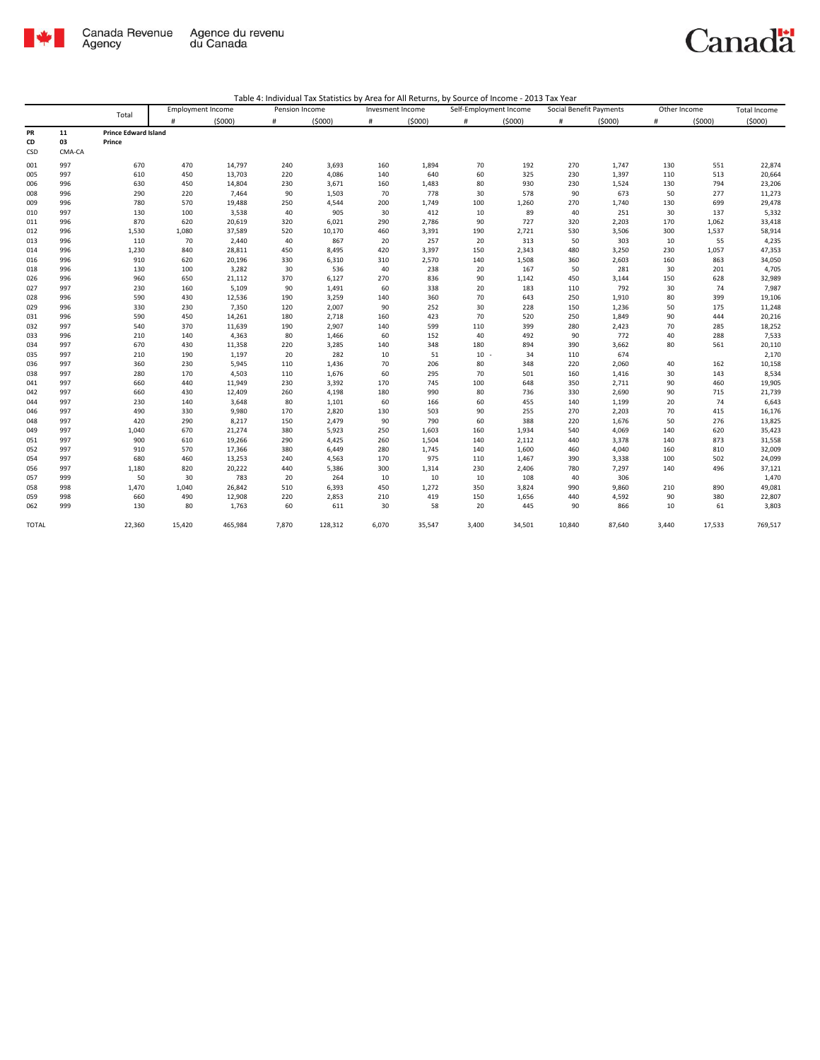

## Canadä

|              |        |                             | <b>Employment Income</b> |         |       | Pension Income |       | Invesment Income |        | Self-Employment Income |        | Social Benefit Payments |       | Other Income |         |
|--------------|--------|-----------------------------|--------------------------|---------|-------|----------------|-------|------------------|--------|------------------------|--------|-------------------------|-------|--------------|---------|
|              |        | Total                       | #                        | (5000)  | #     | (5000)         | #     | (5000)           | #      | (5000)                 | #      | (5000)                  | #     | (5000)       | (5000)  |
| PR           | 11     | <b>Prince Edward Island</b> |                          |         |       |                |       |                  |        |                        |        |                         |       |              |         |
| CD           | 03     | Prince                      |                          |         |       |                |       |                  |        |                        |        |                         |       |              |         |
| CSD          | CMA-CA |                             |                          |         |       |                |       |                  |        |                        |        |                         |       |              |         |
| 001          | 997    | 670                         | 470                      | 14,797  | 240   | 3,693          | 160   | 1,894            | 70     | 192                    | 270    | 1,747                   | 130   | 551          | 22,874  |
| 005          | 997    | 610                         | 450                      | 13,703  | 220   | 4,086          | 140   | 640              | 60     | 325                    | 230    | 1,397                   | 110   | 513          | 20,664  |
| 006          | 996    | 630                         | 450                      | 14,804  | 230   | 3,671          | 160   | 1,483            | 80     | 930                    | 230    | 1,524                   | 130   | 794          | 23,206  |
| 008          | 996    | 290                         | 220                      | 7,464   | 90    | 1,503          | 70    | 778              | 30     | 578                    | 90     | 673                     | 50    | 277          | 11,273  |
| 009          | 996    | 780                         | 570                      | 19,488  | 250   | 4,544          | 200   | 1,749            | 100    | 1,260                  | 270    | 1,740                   | 130   | 699          | 29,478  |
| 010          | 997    | 130                         | 100                      | 3,538   | 40    | 905            | 30    | 412              | 10     | 89                     | 40     | 251                     | 30    | 137          | 5,332   |
| 011          | 996    | 870                         | 620                      | 20,619  | 320   | 6,021          | 290   | 2,786            | 90     | 727                    | 320    | 2,203                   | 170   | 1,062        | 33,418  |
| 012          | 996    | 1,530                       | 1,080                    | 37,589  | 520   | 10,170         | 460   | 3,391            | 190    | 2,721                  | 530    | 3,506                   | 300   | 1,537        | 58,914  |
| 013          | 996    | 110                         | 70                       | 2,440   | 40    | 867            | 20    | 257              | 20     | 313                    | 50     | 303                     | 10    | 55           | 4,235   |
| 014          | 996    | 1,230                       | 840                      | 28,811  | 450   | 8,495          | 420   | 3,397            | 150    | 2,343                  | 480    | 3,250                   | 230   | 1,057        | 47,353  |
| 016          | 996    | 910                         | 620                      | 20,196  | 330   | 6,310          | 310   | 2,570            | 140    | 1,508                  | 360    | 2,603                   | 160   | 863          | 34,050  |
| 018          | 996    | 130                         | 100                      | 3,282   | 30    | 536            | 40    | 238              | 20     | 167                    | 50     | 281                     | 30    | 201          | 4,705   |
| 026          | 996    | 960                         | 650                      | 21,112  | 370   | 6,127          | 270   | 836              | 90     | 1,142                  | 450    | 3,144                   | 150   | 628          | 32,989  |
| 027          | 997    | 230                         | 160                      | 5,109   | 90    | 1,491          | 60    | 338              | 20     | 183                    | 110    | 792                     | 30    | 74           | 7,987   |
| 028          | 996    | 590                         | 430                      | 12,536  | 190   | 3,259          | 140   | 360              | 70     | 643                    | 250    | 1,910                   | 80    | 399          | 19,106  |
| 029          | 996    | 330                         | 230                      | 7,350   | 120   | 2,007          | 90    | 252              | 30     | 228                    | 150    | 1,236                   | 50    | 175          | 11,248  |
| 031          | 996    | 590                         | 450                      | 14,261  | 180   | 2,718          | 160   | 423              | 70     | 520                    | 250    | 1,849                   | 90    | 444          | 20,216  |
| 032          | 997    | 540                         | 370                      | 11,639  | 190   | 2,907          | 140   | 599              | 110    | 399                    | 280    | 2,423                   | 70    | 285          | 18,252  |
| 033          | 996    | 210                         | 140                      | 4,363   | 80    | 1,466          | 60    | 152              | 40     | 492                    | 90     | 772                     | 40    | 288          | 7,533   |
| 034          | 997    | 670                         | 430                      | 11,358  | 220   | 3,285          | 140   | 348              | 180    | 894                    | 390    | 3,662                   | 80    | 561          | 20,110  |
| 035          | 997    | 210                         | 190                      | 1,197   | 20    | 282            | 10    | 51               | $10 -$ | 34                     | 110    | 674                     |       |              | 2,170   |
| 036          | 997    | 360                         | 230                      | 5,945   | 110   | 1,436          | 70    | 206              | 80     | 348                    | 220    | 2,060                   | 40    | 162          | 10,158  |
| 038          | 997    | 280                         | 170                      | 4,503   | 110   | 1,676          | 60    | 295              | 70     | 501                    | 160    | 1,416                   | 30    | 143          | 8,534   |
| 041          | 997    | 660                         | 440                      | 11,949  | 230   | 3,392          | 170   | 745              | 100    | 648                    | 350    | 2,711                   | 90    | 460          | 19,905  |
| 042          | 997    | 660                         | 430                      | 12,409  | 260   | 4,198          | 180   | 990              | 80     | 736                    | 330    | 2,690                   | 90    | 715          | 21,739  |
| 044          | 997    | 230                         | 140                      | 3,648   | 80    | 1,101          | 60    | 166              | 60     | 455                    | 140    | 1,199                   | 20    | 74           | 6,643   |
| 046          | 997    | 490                         | 330                      | 9,980   | 170   | 2,820          | 130   | 503              | 90     | 255                    | 270    | 2,203                   | 70    | 415          | 16,176  |
| 048          | 997    | 420                         | 290                      | 8,217   | 150   | 2,479          | 90    | 790              | 60     | 388                    | 220    | 1,676                   | 50    | 276          | 13,825  |
| 049          | 997    | 1,040                       | 670                      | 21,274  | 380   | 5,923          | 250   | 1,603            | 160    | 1,934                  | 540    | 4,069                   | 140   | 620          | 35,423  |
| 051          | 997    | 900                         | 610                      | 19,266  | 290   | 4,425          | 260   | 1,504            | 140    | 2,112                  | 440    | 3,378                   | 140   | 873          | 31,558  |
| 052          | 997    | 910                         | 570                      | 17,366  | 380   | 6,449          | 280   | 1,745            | 140    | 1,600                  | 460    | 4,040                   | 160   | 810          | 32,009  |
| 054          | 997    | 680                         | 460                      | 13,253  | 240   | 4,563          | 170   | 975              | 110    | 1,467                  | 390    | 3,338                   | 100   | 502          | 24,099  |
| 056          | 997    | 1,180                       | 820                      | 20,222  | 440   | 5,386          | 300   | 1,314            | 230    | 2,406                  | 780    | 7,297                   | 140   | 496          | 37,121  |
| 057          | 999    | 50                          | 30                       | 783     | 20    | 264            | 10    | 10               | 10     | 108                    | 40     | 306                     |       |              | 1,470   |
| 058          | 998    | 1,470                       | 1,040                    | 26,842  | 510   | 6,393          | 450   | 1,272            | 350    | 3,824                  | 990    | 9,860                   | 210   | 890          | 49,081  |
| 059          | 998    | 660                         | 490                      | 12,908  | 220   | 2,853          | 210   | 419              | 150    | 1,656                  | 440    | 4,592                   | 90    | 380          | 22,807  |
| 062          | 999    | 130                         | 80                       | 1,763   | 60    | 611            | 30    | 58               | 20     | 445                    | 90     | 866                     | 10    | 61           | 3,803   |
| <b>TOTAL</b> |        | 22,360                      | 15,420                   | 465,984 | 7,870 | 128,312        | 6.070 | 35,547           | 3,400  | 34,501                 | 10,840 | 87,640                  | 3,440 | 17,533       | 769,517 |